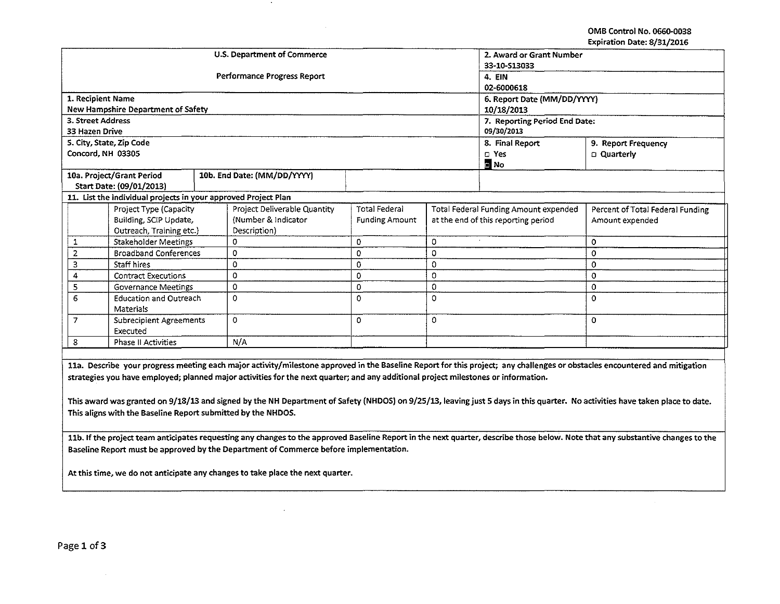OMB Control No. 0660-0038 Expiration Date: 8/31/2016

|                                                                                                                                                                                                                                                                                                                  |                                                                |  | <b>U.S. Department of Commerce</b>  | 2. Award or Grant Number      |                                       |                   |                                  |  |  |
|------------------------------------------------------------------------------------------------------------------------------------------------------------------------------------------------------------------------------------------------------------------------------------------------------------------|----------------------------------------------------------------|--|-------------------------------------|-------------------------------|---------------------------------------|-------------------|----------------------------------|--|--|
|                                                                                                                                                                                                                                                                                                                  |                                                                |  |                                     | 33-10-513033                  |                                       |                   |                                  |  |  |
|                                                                                                                                                                                                                                                                                                                  |                                                                |  | Performance Progress Report         | <b>4. EIN</b>                 |                                       |                   |                                  |  |  |
|                                                                                                                                                                                                                                                                                                                  |                                                                |  |                                     | 02-6000618                    |                                       |                   |                                  |  |  |
| 1. Recipient Name                                                                                                                                                                                                                                                                                                |                                                                |  |                                     | 6. Report Date (MM/DD/YYYY)   |                                       |                   |                                  |  |  |
|                                                                                                                                                                                                                                                                                                                  | <b>New Hampshire Department of Safety</b>                      |  |                                     | 10/18/2013                    |                                       |                   |                                  |  |  |
| 3. Street Address                                                                                                                                                                                                                                                                                                |                                                                |  |                                     | 7. Reporting Period End Date: |                                       |                   |                                  |  |  |
| 33 Hazen Drive                                                                                                                                                                                                                                                                                                   |                                                                |  |                                     | 09/30/2013                    |                                       |                   |                                  |  |  |
|                                                                                                                                                                                                                                                                                                                  | 5. City, State, Zip Code                                       |  |                                     | 8. Final Report               | 9. Report Frequency                   |                   |                                  |  |  |
|                                                                                                                                                                                                                                                                                                                  | Concord, NH 03305                                              |  |                                     | $\square$ Yes                 | <b>Quarterly</b>                      |                   |                                  |  |  |
|                                                                                                                                                                                                                                                                                                                  |                                                                |  |                                     |                               |                                       | $\blacksquare$ No |                                  |  |  |
|                                                                                                                                                                                                                                                                                                                  | 10a. Project/Grant Period                                      |  | 10b. End Date: (MM/DD/YYYY)         |                               |                                       |                   |                                  |  |  |
|                                                                                                                                                                                                                                                                                                                  | Start Date: (09/01/2013)                                       |  |                                     |                               |                                       |                   |                                  |  |  |
|                                                                                                                                                                                                                                                                                                                  | 11. List the individual projects in your approved Project Plan |  |                                     |                               |                                       |                   |                                  |  |  |
|                                                                                                                                                                                                                                                                                                                  | Project Type (Capacity                                         |  | <b>Project Deliverable Quantity</b> | <b>Total Federal</b>          | Total Federal Funding Amount expended |                   | Percent of Total Federal Funding |  |  |
|                                                                                                                                                                                                                                                                                                                  | Building, SCIP Update,                                         |  | (Number & Indicator                 | <b>Funding Amount</b>         | at the end of this reporting period   |                   | Amount expended                  |  |  |
|                                                                                                                                                                                                                                                                                                                  | Outreach, Training etc.)                                       |  | Description)                        |                               |                                       |                   |                                  |  |  |
| 1                                                                                                                                                                                                                                                                                                                | Stakeholder Meetings                                           |  | 0                                   | 0                             | 0                                     |                   | $\circ$                          |  |  |
| $\overline{2}$                                                                                                                                                                                                                                                                                                   | <b>Broadband Conferences</b>                                   |  | 0                                   | 0                             | 0                                     |                   | 0                                |  |  |
| з                                                                                                                                                                                                                                                                                                                | Staff hires                                                    |  | 0                                   | 0                             | 0                                     |                   | $\circ$                          |  |  |
| 4                                                                                                                                                                                                                                                                                                                | <b>Contract Executions</b>                                     |  | 0                                   | 0                             | 0                                     |                   | $\Omega$                         |  |  |
| 5                                                                                                                                                                                                                                                                                                                | Governance Meetings                                            |  | 0                                   | 0                             | 0                                     |                   | 0                                |  |  |
| 6                                                                                                                                                                                                                                                                                                                | <b>Education and Outreach</b><br>Materials                     |  | 0                                   | 0                             | $\Omega$                              |                   | $\Omega$                         |  |  |
| 7                                                                                                                                                                                                                                                                                                                | <b>Subrecipient Agreements</b><br>Executed                     |  | 0                                   | 0                             | 0                                     |                   | $\circ$                          |  |  |
| 8                                                                                                                                                                                                                                                                                                                | <b>Phase II Activities</b>                                     |  | N/A                                 |                               |                                       |                   |                                  |  |  |
|                                                                                                                                                                                                                                                                                                                  |                                                                |  |                                     |                               |                                       |                   |                                  |  |  |
|                                                                                                                                                                                                                                                                                                                  |                                                                |  |                                     |                               |                                       |                   |                                  |  |  |
| 11a. Describe your progress meeting each major activity/milestone approved in the Baseline Report for this project; any challenges or obstacles encountered and mitigation<br>strategies you have employed; planned major activities for the next quarter; and any additional project milestones or information. |                                                                |  |                                     |                               |                                       |                   |                                  |  |  |
|                                                                                                                                                                                                                                                                                                                  |                                                                |  |                                     |                               |                                       |                   |                                  |  |  |
|                                                                                                                                                                                                                                                                                                                  |                                                                |  |                                     |                               |                                       |                   |                                  |  |  |

This award was granted on 9/18/13 and signed by the NH Department of Safety {NHDOS) on 9/25/13, leaving just 5 days in this quarter. **No activities have taken place to date. This aligns with the Baseline Report submitted by the NHDOS.** 

**llb. If the project team anticipates requesting any changes to the approved Baseline Report in the next quarter, describe those below. Note that any substantive changes to the Baseline Report must be approved by the Department of Commerce before implementation.** 

**At this time, we do not anticipate any changes to take place the next quarter.**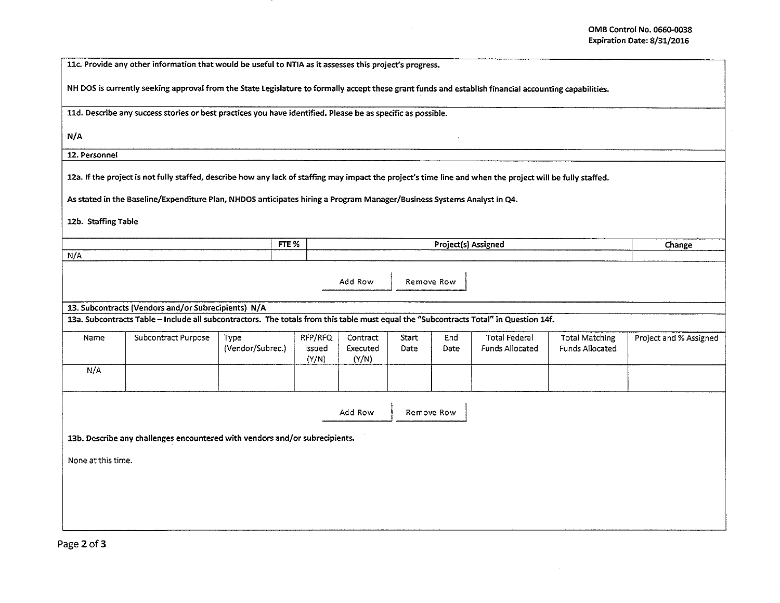| NH DOS is currently seeking approval from the State Legislature to formally accept these grant funds and establish financial accounting capabilities. |                                                                                                                                                                                                                                                                                                                                                                                            |  |  |  |  |  |  |  |  |  |  |
|-------------------------------------------------------------------------------------------------------------------------------------------------------|--------------------------------------------------------------------------------------------------------------------------------------------------------------------------------------------------------------------------------------------------------------------------------------------------------------------------------------------------------------------------------------------|--|--|--|--|--|--|--|--|--|--|
| 11d. Describe any success stories or best practices you have identified. Please be as specific as possible.                                           |                                                                                                                                                                                                                                                                                                                                                                                            |  |  |  |  |  |  |  |  |  |  |
|                                                                                                                                                       |                                                                                                                                                                                                                                                                                                                                                                                            |  |  |  |  |  |  |  |  |  |  |
|                                                                                                                                                       |                                                                                                                                                                                                                                                                                                                                                                                            |  |  |  |  |  |  |  |  |  |  |
|                                                                                                                                                       |                                                                                                                                                                                                                                                                                                                                                                                            |  |  |  |  |  |  |  |  |  |  |
| As stated in the Baseline/Expenditure Plan, NHDOS anticipates hiring a Program Manager/Business Systems Analyst in Q4.                                |                                                                                                                                                                                                                                                                                                                                                                                            |  |  |  |  |  |  |  |  |  |  |
| 12b. Staffing Table                                                                                                                                   |                                                                                                                                                                                                                                                                                                                                                                                            |  |  |  |  |  |  |  |  |  |  |
|                                                                                                                                                       |                                                                                                                                                                                                                                                                                                                                                                                            |  |  |  |  |  |  |  |  |  |  |
|                                                                                                                                                       | Change                                                                                                                                                                                                                                                                                                                                                                                     |  |  |  |  |  |  |  |  |  |  |
|                                                                                                                                                       |                                                                                                                                                                                                                                                                                                                                                                                            |  |  |  |  |  |  |  |  |  |  |
|                                                                                                                                                       |                                                                                                                                                                                                                                                                                                                                                                                            |  |  |  |  |  |  |  |  |  |  |
|                                                                                                                                                       |                                                                                                                                                                                                                                                                                                                                                                                            |  |  |  |  |  |  |  |  |  |  |
|                                                                                                                                                       |                                                                                                                                                                                                                                                                                                                                                                                            |  |  |  |  |  |  |  |  |  |  |
| <b>Total Federal</b><br>End<br><b>Total Matching</b><br><b>Funds Allocated</b><br>Date                                                                | Project and % Assigned                                                                                                                                                                                                                                                                                                                                                                     |  |  |  |  |  |  |  |  |  |  |
|                                                                                                                                                       |                                                                                                                                                                                                                                                                                                                                                                                            |  |  |  |  |  |  |  |  |  |  |
|                                                                                                                                                       |                                                                                                                                                                                                                                                                                                                                                                                            |  |  |  |  |  |  |  |  |  |  |
|                                                                                                                                                       |                                                                                                                                                                                                                                                                                                                                                                                            |  |  |  |  |  |  |  |  |  |  |
|                                                                                                                                                       |                                                                                                                                                                                                                                                                                                                                                                                            |  |  |  |  |  |  |  |  |  |  |
|                                                                                                                                                       |                                                                                                                                                                                                                                                                                                                                                                                            |  |  |  |  |  |  |  |  |  |  |
|                                                                                                                                                       |                                                                                                                                                                                                                                                                                                                                                                                            |  |  |  |  |  |  |  |  |  |  |
|                                                                                                                                                       |                                                                                                                                                                                                                                                                                                                                                                                            |  |  |  |  |  |  |  |  |  |  |
|                                                                                                                                                       |                                                                                                                                                                                                                                                                                                                                                                                            |  |  |  |  |  |  |  |  |  |  |
|                                                                                                                                                       |                                                                                                                                                                                                                                                                                                                                                                                            |  |  |  |  |  |  |  |  |  |  |
|                                                                                                                                                       | 12a. If the project is not fully staffed, describe how any lack of staffing may impact the project's time line and when the project will be fully staffed.<br>Project(s) Assigned<br>Remove Row<br>13a. Subcontracts Table - Include all subcontractors. The totals from this table must equal the "Subcontracts Total" in Question 14f.<br>Start<br>Date<br>Funds Allocated<br>Remove Row |  |  |  |  |  |  |  |  |  |  |

 $\label{eq:2.1} \mathcal{L}(\mathcal{L}^{\text{max}}_{\mathcal{L}}(\mathcal{L}^{\text{max}}_{\mathcal{L}})) \leq \mathcal{L}(\mathcal{L}^{\text{max}}_{\mathcal{L}}(\mathcal{L}^{\text{max}}_{\mathcal{L}}))$